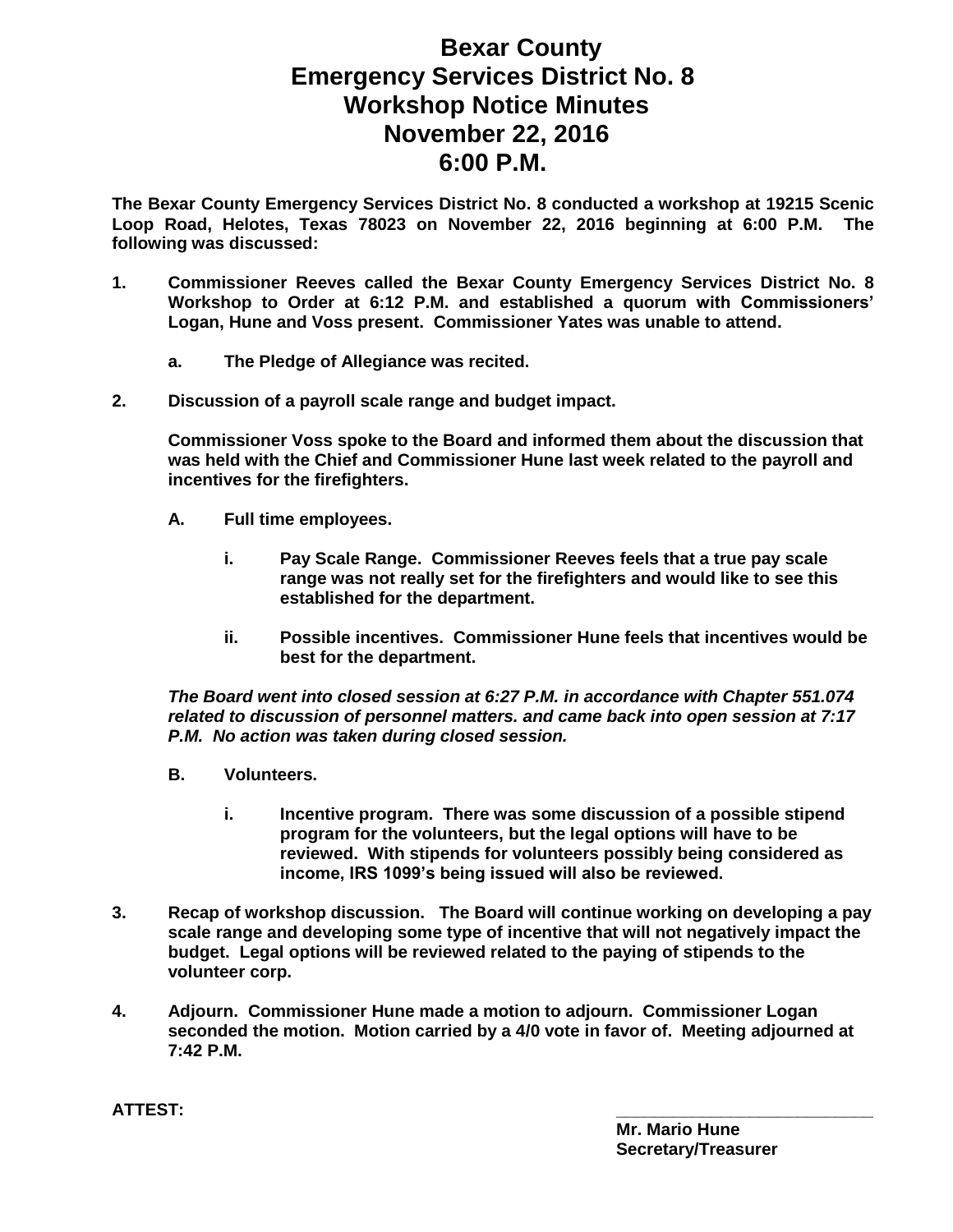## **Bexar County Emergency Services District No. 8 Workshop Notice Minutes November 22, 2016 6:00 P.M.**

**The Bexar County Emergency Services District No. 8 conducted a workshop at 19215 Scenic Loop Road, Helotes, Texas 78023 on November 22, 2016 beginning at 6:00 P.M. The following was discussed:**

- **1. Commissioner Reeves called the Bexar County Emergency Services District No. 8 Workshop to Order at 6:12 P.M. and established a quorum with Commissioners' Logan, Hune and Voss present. Commissioner Yates was unable to attend.**
	- **a. The Pledge of Allegiance was recited.**
- **2. Discussion of a payroll scale range and budget impact.**

**Commissioner Voss spoke to the Board and informed them about the discussion that was held with the Chief and Commissioner Hune last week related to the payroll and incentives for the firefighters.**

- **A. Full time employees.**
	- **i. Pay Scale Range. Commissioner Reeves feels that a true pay scale range was not really set for the firefighters and would like to see this established for the department.**
	- **ii. Possible incentives. Commissioner Hune feels that incentives would be best for the department.**

*The Board went into closed session at 6:27 P.M. in accordance with Chapter 551.074 related to discussion of personnel matters. and came back into open session at 7:17 P.M. No action was taken during closed session.* 

- **B. Volunteers.**
	- **i. Incentive program. There was some discussion of a possible stipend program for the volunteers, but the legal options will have to be reviewed. With stipends for volunteers possibly being considered as income, IRS 1099's being issued will also be reviewed.**
- **3. Recap of workshop discussion. The Board will continue working on developing a pay scale range and developing some type of incentive that will not negatively impact the budget. Legal options will be reviewed related to the paying of stipends to the volunteer corp.**
- **4. Adjourn. Commissioner Hune made a motion to adjourn. Commissioner Logan seconded the motion. Motion carried by a 4/0 vote in favor of. Meeting adjourned at 7:42 P.M.**

**ATTEST: \_\_\_\_\_\_\_\_\_\_\_\_\_\_\_\_\_\_\_\_\_\_\_\_\_\_\_**